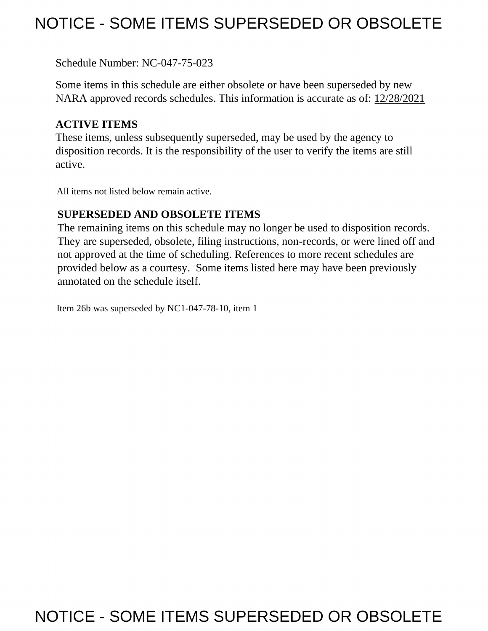# NOTICE - SOME ITEMS SUPERSEDED OR OBSOLETE

Schedule Number: NC-047-75-023

 Some items in this schedule are either obsolete or have been superseded by new NARA approved records schedules. This information is accurate as of: 12/28/2021

# **ACTIVE ITEMS**

 These items, unless subsequently superseded, may be used by the agency to disposition records. It is the responsibility of the user to verify the items are still active.

All items not listed below remain active.

# **SUPERSEDED AND OBSOLETE ITEMS**

 The remaining items on this schedule may no longer be used to disposition records. not approved at the time of scheduling. References to more recent schedules are provided below as a courtesy. Some items listed here may have been previously They are superseded, obsolete, filing instructions, non-records, or were lined off and annotated on the schedule itself.

Item 26b was superseded by NC1-047-78-10, item 1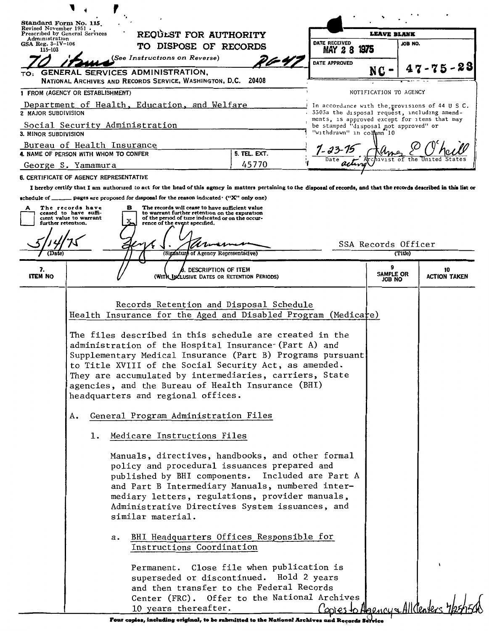| Standard Form No. 115<br>Revised November 1951 .                      |                                                 |                                |                                                                                                                                                                                                                                                                                                                                                                                                                                                                           |                                                                                                                                                                                                                                                                                                                                                                                                                                                                                                                                                                                                                                                                                                                                                                                                                                     |                                                                                                |                          |         |                           |  |
|-----------------------------------------------------------------------|-------------------------------------------------|--------------------------------|---------------------------------------------------------------------------------------------------------------------------------------------------------------------------------------------------------------------------------------------------------------------------------------------------------------------------------------------------------------------------------------------------------------------------------------------------------------------------|-------------------------------------------------------------------------------------------------------------------------------------------------------------------------------------------------------------------------------------------------------------------------------------------------------------------------------------------------------------------------------------------------------------------------------------------------------------------------------------------------------------------------------------------------------------------------------------------------------------------------------------------------------------------------------------------------------------------------------------------------------------------------------------------------------------------------------------|------------------------------------------------------------------------------------------------|--------------------------|---------|---------------------------|--|
| Prescribed by General Services<br>Administration<br>GSA Reg. 3-IV-106 |                                                 |                                | REQUEST FOR AUTHORITY<br>TO DISPOSE OF RECORDS                                                                                                                                                                                                                                                                                                                                                                                                                            |                                                                                                                                                                                                                                                                                                                                                                                                                                                                                                                                                                                                                                                                                                                                                                                                                                     | DATE RECEIVED                                                                                  | LEAVE BLANK              | JOB NO. |                           |  |
| 115-103<br>(See Instructions on Reverse)<br>P G=4                     |                                                 | <b>MAY 28</b><br>DATE APPROVED | 1975                                                                                                                                                                                                                                                                                                                                                                                                                                                                      |                                                                                                                                                                                                                                                                                                                                                                                                                                                                                                                                                                                                                                                                                                                                                                                                                                     |                                                                                                |                          |         |                           |  |
|                                                                       | TO: GENERAL SERVICES ADMINISTRATION,            |                                |                                                                                                                                                                                                                                                                                                                                                                                                                                                                           |                                                                                                                                                                                                                                                                                                                                                                                                                                                                                                                                                                                                                                                                                                                                                                                                                                     |                                                                                                | NC                       |         |                           |  |
|                                                                       |                                                 |                                | NATIONAL ARCHIVES AND RECORDS SERVICE, WASHINGTON, D.C. 20408                                                                                                                                                                                                                                                                                                                                                                                                             |                                                                                                                                                                                                                                                                                                                                                                                                                                                                                                                                                                                                                                                                                                                                                                                                                                     |                                                                                                |                          |         |                           |  |
| 1 FROM (AGENCY OR ESTABLISHMENT)                                      |                                                 |                                |                                                                                                                                                                                                                                                                                                                                                                                                                                                                           |                                                                                                                                                                                                                                                                                                                                                                                                                                                                                                                                                                                                                                                                                                                                                                                                                                     |                                                                                                | NOTIFICATION TO AGENCY   |         |                           |  |
| 2 MAJOR SUBDIVISION                                                   |                                                 |                                | Department of Health, Education, and Welfare                                                                                                                                                                                                                                                                                                                                                                                                                              |                                                                                                                                                                                                                                                                                                                                                                                                                                                                                                                                                                                                                                                                                                                                                                                                                                     | In accordance with the provisions of 44 U S C.<br>3503a the disposal request, including amend- |                          |         |                           |  |
|                                                                       | Social Security Administration                  |                                |                                                                                                                                                                                                                                                                                                                                                                                                                                                                           |                                                                                                                                                                                                                                                                                                                                                                                                                                                                                                                                                                                                                                                                                                                                                                                                                                     | ments, is approved except for items that may<br>be stamped "disposal not approved" or          |                          |         |                           |  |
| 3. MINOR SUBDIVISION                                                  |                                                 |                                |                                                                                                                                                                                                                                                                                                                                                                                                                                                                           |                                                                                                                                                                                                                                                                                                                                                                                                                                                                                                                                                                                                                                                                                                                                                                                                                                     | "withdrawn" in column 10                                                                       |                          |         |                           |  |
| 4. NAME OF PERSON WITH WHOM TO CONFER                                 | Bureau of Health Insurance                      |                                |                                                                                                                                                                                                                                                                                                                                                                                                                                                                           | 5. TEL. EXT.                                                                                                                                                                                                                                                                                                                                                                                                                                                                                                                                                                                                                                                                                                                                                                                                                        |                                                                                                |                          |         |                           |  |
|                                                                       | George S. Yamamura                              |                                |                                                                                                                                                                                                                                                                                                                                                                                                                                                                           | 45770                                                                                                                                                                                                                                                                                                                                                                                                                                                                                                                                                                                                                                                                                                                                                                                                                               |                                                                                                |                          |         |                           |  |
| 6. CERTIFICATE OF AGENCY REPRESENTATIVE                               |                                                 |                                |                                                                                                                                                                                                                                                                                                                                                                                                                                                                           |                                                                                                                                                                                                                                                                                                                                                                                                                                                                                                                                                                                                                                                                                                                                                                                                                                     |                                                                                                |                          |         |                           |  |
|                                                                       |                                                 |                                |                                                                                                                                                                                                                                                                                                                                                                                                                                                                           | I hereby certify that I am authorized to act for the head of this agency in matters pertaining to the disposal of records, and that the records described in this list or                                                                                                                                                                                                                                                                                                                                                                                                                                                                                                                                                                                                                                                           |                                                                                                |                          |         |                           |  |
|                                                                       | The records have                                | в                              | schedule of $\frac{1}{\sqrt{1-\frac{1}{\sqrt{1-\frac{1}{\sqrt{1-\frac{1}{\sqrt{1-\frac{1}{\sqrt{1-\frac{1}{\sqrt{1-\frac{1}{\sqrt{1-\frac{1}{\sqrt{1-\frac{1}{\sqrt{1-\frac{1}{\sqrt{1-\frac{1}{\sqrt{1-\frac{1}{\sqrt{1-\frac{1}{\sqrt{1-\frac{1}{\sqrt{1-\frac{1}{\sqrt{1-\frac{1}{\sqrt{1-\frac{1}{\sqrt{1-\frac{1}{\sqrt{1-\frac{1}{\sqrt{1-\frac{1}{\sqrt{1-\frac{1}{\sqrt{1-\frac{1}{\sqrt{1-\frac{1}{\sqrt{1-\$<br>The records will cease to have sufficient value |                                                                                                                                                                                                                                                                                                                                                                                                                                                                                                                                                                                                                                                                                                                                                                                                                                     |                                                                                                |                          |         |                           |  |
|                                                                       | ceased to have suffi-<br>cient value to warrant |                                | to warrant further retention on the expiration<br>of the period of time indicated or on the occur-                                                                                                                                                                                                                                                                                                                                                                        |                                                                                                                                                                                                                                                                                                                                                                                                                                                                                                                                                                                                                                                                                                                                                                                                                                     |                                                                                                |                          |         |                           |  |
| further retention.                                                    |                                                 |                                | rence of the event specified,                                                                                                                                                                                                                                                                                                                                                                                                                                             |                                                                                                                                                                                                                                                                                                                                                                                                                                                                                                                                                                                                                                                                                                                                                                                                                                     |                                                                                                |                          |         |                           |  |
|                                                                       |                                                 |                                |                                                                                                                                                                                                                                                                                                                                                                                                                                                                           |                                                                                                                                                                                                                                                                                                                                                                                                                                                                                                                                                                                                                                                                                                                                                                                                                                     |                                                                                                | SSA Records Officer      |         |                           |  |
| (Date)                                                                |                                                 |                                | (Signature of Agency Representative)                                                                                                                                                                                                                                                                                                                                                                                                                                      |                                                                                                                                                                                                                                                                                                                                                                                                                                                                                                                                                                                                                                                                                                                                                                                                                                     |                                                                                                |                          | (Title) |                           |  |
| 7.<br><b>ITEM NO</b>                                                  |                                                 |                                | DESCRIPTION OF ITEM                                                                                                                                                                                                                                                                                                                                                                                                                                                       | (WITH INCLUSIVE DATES OR RETENTION PERIODS)                                                                                                                                                                                                                                                                                                                                                                                                                                                                                                                                                                                                                                                                                                                                                                                         |                                                                                                | 9<br>SAMPLE OR<br>JOB NO |         | 10<br><b>ACTION TAKEN</b> |  |
|                                                                       | А.<br>1.                                        | similar material.<br>а.        | headquarters and regional offices.<br>General Program Administration Files<br>Medicare Instructions Files<br>Instructions Coordination                                                                                                                                                                                                                                                                                                                                    | Records Retention and Disposal Schedule<br>Health Insurance for the Aged and Disabled Program (Medicate)<br>The files described in this schedule are created in the<br>administration of the Hospital Insurance (Part A) and<br>Supplementary Medical Insurance (Part B) Programs pursuant<br>to Title XVIII of the Social Security Act, as amended.<br>They are accumulated by intermediaries, carriers, State<br>agencies, and the Bureau of Health Insurance (BHI)<br>Manuals, directives, handbooks, and other formal<br>policy and procedural issuances prepared and<br>published by BHI components. Included are Part A<br>and Part B Intermediary Manuals, numbered inter-<br>mediary letters, regulations, provider manuals,<br>Administrative Directives System issuances, and<br>BHI Headquarters Offices Responsible for |                                                                                                |                          |         |                           |  |
|                                                                       |                                                 |                                | 10 years thereafter.                                                                                                                                                                                                                                                                                                                                                                                                                                                      | Permanent. Close file when publication is<br>superseded or discontinued. Hold 2 years<br>and then transfer to the Federal Records<br>Center (FRC). Offer to the National Archives                                                                                                                                                                                                                                                                                                                                                                                                                                                                                                                                                                                                                                                   | Copies to Algency & All Clenters 4                                                             |                          |         |                           |  |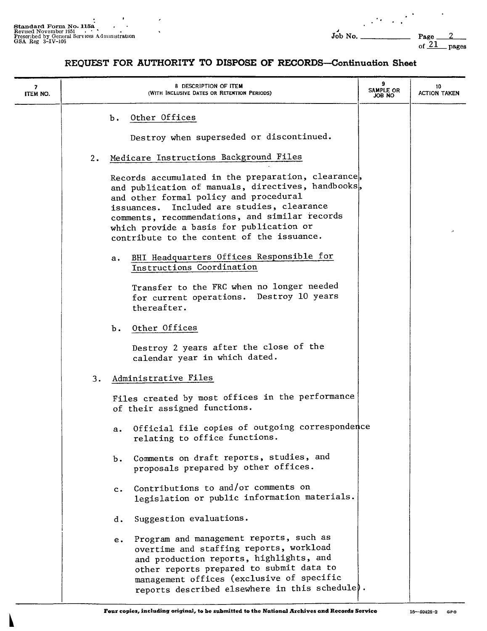$\blacksquare$ 

| 7<br><b>ITEM NO.</b> |    | 8 DESCRIPTION OF ITEM<br>(WITH INCLUSIVE DATES OR RETENTION PERIODS)                                                                                                                                                                                                                                                                            | 9<br>SAMPLE OR<br>or rol | 10<br><b>ACTION TAKEN</b> |
|----------------------|----|-------------------------------------------------------------------------------------------------------------------------------------------------------------------------------------------------------------------------------------------------------------------------------------------------------------------------------------------------|--------------------------|---------------------------|
|                      |    | b. Other Offices                                                                                                                                                                                                                                                                                                                                |                          |                           |
|                      |    | Destroy when superseded or discontinued.                                                                                                                                                                                                                                                                                                        |                          |                           |
|                      | 2. | Medicare Instructions Background Files                                                                                                                                                                                                                                                                                                          |                          |                           |
|                      |    | Records accumulated in the preparation, clearance,<br>and publication of manuals, directives, handbooks,<br>and other formal policy and procedural<br>Included are studies, clearance<br>issuances.<br>comments, recommendations, and similar records<br>which provide a basis for publication or<br>contribute to the content of the issuance. |                          |                           |
|                      |    | BHI Headquarters Offices Responsible for<br>а.<br>Instructions Coordination                                                                                                                                                                                                                                                                     |                          |                           |
|                      |    | Transfer to the FRC when no longer needed<br>for current operations. Destroy 10 years<br>thereafter.                                                                                                                                                                                                                                            |                          |                           |
|                      |    | Other Offices<br>b.                                                                                                                                                                                                                                                                                                                             |                          |                           |
|                      |    | Destroy 2 years after the close of the<br>calendar year in which dated.                                                                                                                                                                                                                                                                         |                          |                           |
|                      | 3. | Administrative Files                                                                                                                                                                                                                                                                                                                            |                          |                           |
|                      |    | Files created by most offices in the performance<br>of their assigned functions.                                                                                                                                                                                                                                                                |                          |                           |
|                      |    | Official file copies of outgoing correspondence<br>а.<br>relating to office functions.                                                                                                                                                                                                                                                          |                          |                           |
|                      |    | Comments on draft reports, studies, and<br>Ъ.<br>proposals prepared by other offices.                                                                                                                                                                                                                                                           |                          |                           |
|                      |    | Contributions to and/or comments on<br>$c_{\bullet}$<br>legislation or public information materials.                                                                                                                                                                                                                                            |                          |                           |
|                      |    | Suggestion evaluations.<br>d.                                                                                                                                                                                                                                                                                                                   |                          |                           |
|                      |    | Program and management reports, such as<br>е.<br>overtime and staffing reports, workload<br>and production reports, highlights, and<br>other reports prepared to submit data to<br>management offices (exclusive of specific<br>reports described elsewhere in this schedule).                                                                  |                          |                           |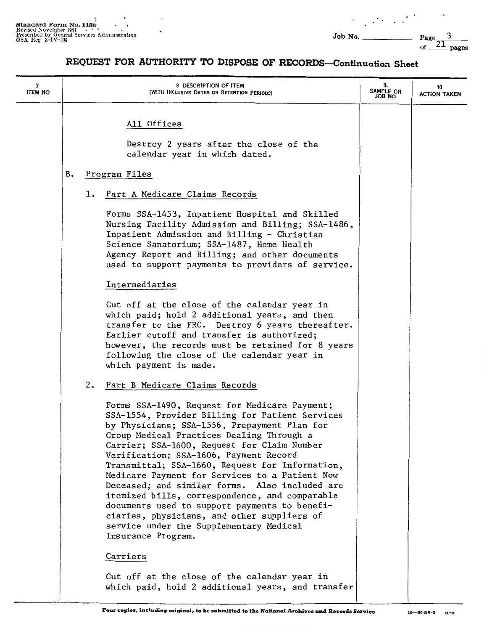$-$  Page  $\frac{3}{21}$  pages

 $\sim 10^{-11}$ 

| 7<br><b>ITEM NO</b> | 8 DESCRIPTION OF ITEM<br>(WITH INCLUSIVE DATES OR RETENTION PERIODS) |                                                                                                                                                                                                                                                                                                                                                                                                                                                                                                                                                                                                                                                                  | 9.<br>SAMPLE OR<br>ON BOL | 10<br>ACTION TAKEN |
|---------------------|----------------------------------------------------------------------|------------------------------------------------------------------------------------------------------------------------------------------------------------------------------------------------------------------------------------------------------------------------------------------------------------------------------------------------------------------------------------------------------------------------------------------------------------------------------------------------------------------------------------------------------------------------------------------------------------------------------------------------------------------|---------------------------|--------------------|
|                     |                                                                      | All Offices<br>Destroy 2 years after the close of the<br>calendar year in which dated.                                                                                                                                                                                                                                                                                                                                                                                                                                                                                                                                                                           |                           |                    |
|                     | в.                                                                   | Program Files                                                                                                                                                                                                                                                                                                                                                                                                                                                                                                                                                                                                                                                    |                           |                    |
|                     | 1.                                                                   | Part A Medicare Claims Records                                                                                                                                                                                                                                                                                                                                                                                                                                                                                                                                                                                                                                   |                           |                    |
|                     |                                                                      | Forms SSA-1453, Inpatient Hospital and Skilled<br>Nursing Facility Admission and Billing; SSA-1486,<br>Inpatient Admission and Billing - Christian<br>Science Sanatorium; SSA-1487, Home Health<br>Agency Report and Billing; and other documents<br>used to support payments to providers of service.                                                                                                                                                                                                                                                                                                                                                           |                           |                    |
|                     |                                                                      | Intermediaries                                                                                                                                                                                                                                                                                                                                                                                                                                                                                                                                                                                                                                                   |                           |                    |
|                     |                                                                      | Cut off at the close of the calendar year in<br>which paid; hold 2 additional years, and then<br>transfer to the FRC. Destroy 6 years thereafter.<br>Earlier cutoff and transfer is authorized;<br>however, the records must be retained for 8 years<br>following the close of the calendar year in<br>which payment is made.                                                                                                                                                                                                                                                                                                                                    |                           |                    |
|                     | 2.                                                                   | Part B Medicare Claims Records                                                                                                                                                                                                                                                                                                                                                                                                                                                                                                                                                                                                                                   |                           |                    |
|                     |                                                                      | Forms SSA-1490, Request for Medicare Payment;<br>SSA-1554, Provider Billing for Patient Services<br>by Physicians; SSA-1556, Prepayment Plan for<br>Group Medical Practices Dealing Through a<br>Carrier; SSA-1600, Request for Claim Number<br>Verification; SSA-1606, Payment Record<br>Transmittal; SSA-1660, Request for Information,<br>Medicare Payment for Services to a Patient Now<br>Deceased; and similar forms. Also included are<br>itemized bills, correspondence, and comparable<br>documents used to support payments to benefi-<br>ciaries, physicians, and other suppliers of<br>service under the Supplementary Medical<br>Insurance Program. |                           |                    |
|                     |                                                                      | Carriers                                                                                                                                                                                                                                                                                                                                                                                                                                                                                                                                                                                                                                                         |                           |                    |
|                     |                                                                      | Cut off at the close of the calendar year in<br>which paid, hold 2 additional years, and transfer                                                                                                                                                                                                                                                                                                                                                                                                                                                                                                                                                                |                           |                    |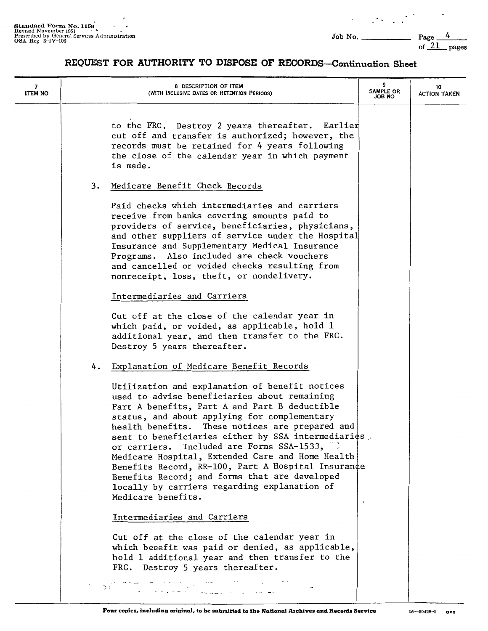of 21 pages

 $\sim 10^{-10}$ 

| 7<br><b>ITEM NO</b> |    | 8 DESCRIPTION OF ITEM<br>(WITH INCLUSIVE DATES OR RETENTION PERIODS)                                                                                                                                                                                                                                                                                                                                                                                                                                                                                                                    | SAMPLE OR<br>JOB NO | 10<br><b>ACTION TAKEN</b> |
|---------------------|----|-----------------------------------------------------------------------------------------------------------------------------------------------------------------------------------------------------------------------------------------------------------------------------------------------------------------------------------------------------------------------------------------------------------------------------------------------------------------------------------------------------------------------------------------------------------------------------------------|---------------------|---------------------------|
|                     |    | to the FRC. Destroy 2 years thereafter. Earlier<br>cut off and transfer is authorized; however, the<br>records must be retained for 4 years following<br>the close of the calendar year in which payment<br>is made.                                                                                                                                                                                                                                                                                                                                                                    |                     |                           |
|                     | 3. | Medicare Benefit Check Records                                                                                                                                                                                                                                                                                                                                                                                                                                                                                                                                                          |                     |                           |
|                     |    | Paid checks which intermediaries and carriers<br>receive from banks covering amounts paid to<br>providers of service, beneficiaries, physicians,<br>and other suppliers of service under the Hospital<br>Insurance and Supplementary Medical Insurance<br>Programs. Also included are check vouchers<br>and cancelled or voided checks resulting from<br>nonreceipt, loss, theft, or nondelivery.                                                                                                                                                                                       |                     |                           |
|                     |    | Intermediaries and Carriers                                                                                                                                                                                                                                                                                                                                                                                                                                                                                                                                                             |                     |                           |
|                     |    | Cut off at the close of the calendar year in<br>which paid, or voided, as applicable, hold 1<br>additional year, and then transfer to the FRC.<br>Destroy 5 years thereafter.                                                                                                                                                                                                                                                                                                                                                                                                           |                     |                           |
|                     | 4. | Explanation of Medicare Benefit Records                                                                                                                                                                                                                                                                                                                                                                                                                                                                                                                                                 |                     |                           |
|                     |    | Utilization and explanation of benefit notices<br>used to advise beneficiaries about remaining<br>Part A benefits, Part A and Part B deductible<br>status, and about applying for complementary<br>health benefits. These notices are prepared and<br>sent to beneficiaries either by SSA intermediaries,<br>or carriers. Included are Forms SSA-1533,<br>Medicare Hospital, Extended Care and Home Health<br>Benefits Record, RR-100, Part A Hospital Insurance<br>Benefits Record; and forms that are developed<br>locally by carriers regarding explanation of<br>Medicare benefits. |                     |                           |
|                     |    | Intermediaries and Carriers                                                                                                                                                                                                                                                                                                                                                                                                                                                                                                                                                             |                     |                           |
|                     |    | Cut off at the close of the calendar year in<br>which benefit was paid or denied, as applicable,<br>hold 1 additional year and then transfer to the<br>FRC. Destroy 5 years thereafter.                                                                                                                                                                                                                                                                                                                                                                                                 |                     |                           |
|                     |    | $\mathcal{L}_{\mathcal{A}}$ and $\mathcal{L}_{\mathcal{A}}$ and $\mathcal{L}_{\mathcal{A}}$ . The simple propagator $\mathcal{L}_{\mathcal{A}}$                                                                                                                                                                                                                                                                                                                                                                                                                                         |                     |                           |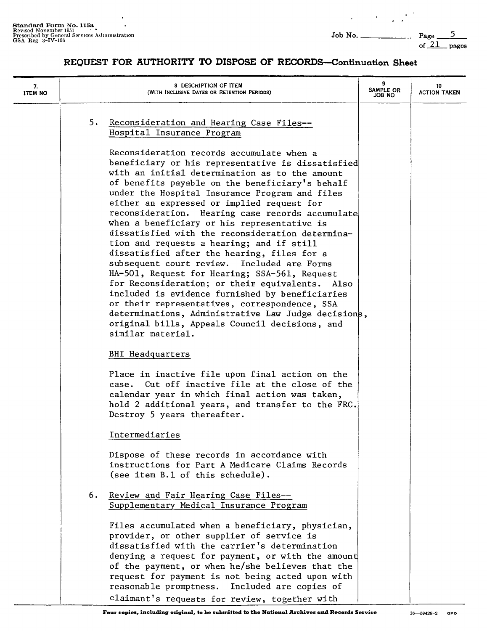$\sim 100$ 

 $\mathbb{R}^2$ 

of  $21$  pages

| 7.<br>ITEM NO |    | 8 DESCRIPTION OF ITEM<br>(WITH INCLUSIVE DATES OR RETENTION PERIODS)                                                                                                                                                                                                                                                                                                                                                                                                                                                                                                                                                                                                                                                                                                                                                                                                                                                                        | 9<br>SAMPLE OR<br>JOB NO | 10<br><b>ACTION TAKEN</b> |
|---------------|----|---------------------------------------------------------------------------------------------------------------------------------------------------------------------------------------------------------------------------------------------------------------------------------------------------------------------------------------------------------------------------------------------------------------------------------------------------------------------------------------------------------------------------------------------------------------------------------------------------------------------------------------------------------------------------------------------------------------------------------------------------------------------------------------------------------------------------------------------------------------------------------------------------------------------------------------------|--------------------------|---------------------------|
|               | 5. | Reconsideration and Hearing Case Files--<br>Hospital Insurance Program                                                                                                                                                                                                                                                                                                                                                                                                                                                                                                                                                                                                                                                                                                                                                                                                                                                                      |                          |                           |
|               |    | Reconsideration records accumulate when a<br>beneficiary or his representative is dissatisfied<br>with an initial determination as to the amount<br>of benefits payable on the beneficiary's behalf<br>under the Hospital Insurance Program and files<br>either an expressed or implied request for<br>reconsideration. Hearing case records accumulate<br>when a beneficiary or his representative is<br>dissatisfied with the reconsideration determina-<br>tion and requests a hearing; and if still<br>dissatisfied after the hearing, files for a<br>subsequent court review. Included are Forms<br>HA-501, Request for Hearing; SSA-561, Request<br>for Reconsideration; or their equivalents. Also<br>included is evidence furnished by beneficiaries<br>or their representatives, correspondence, SSA<br>determinations, Administrative Law Judge decisions,<br>original bills, Appeals Council decisions, and<br>similar material. |                          |                           |
|               |    | <b>BHI</b> Headquarters<br>Place in inactive file upon final action on the<br>case. Cut off inactive file at the close of the<br>calendar year in which final action was taken,<br>hold 2 additional years, and transfer to the FRC.<br>Destroy 5 years thereafter.                                                                                                                                                                                                                                                                                                                                                                                                                                                                                                                                                                                                                                                                         |                          |                           |
|               |    | Intermediaries                                                                                                                                                                                                                                                                                                                                                                                                                                                                                                                                                                                                                                                                                                                                                                                                                                                                                                                              |                          |                           |
|               |    | Dispose of these records in accordance with<br>instructions for Part A Medicare Claims Records<br>(see item B.1 of this schedule).                                                                                                                                                                                                                                                                                                                                                                                                                                                                                                                                                                                                                                                                                                                                                                                                          |                          |                           |
|               | 6. | Review and Fair Hearing Case Files--<br>Supplementary Medical Insurance Program                                                                                                                                                                                                                                                                                                                                                                                                                                                                                                                                                                                                                                                                                                                                                                                                                                                             |                          |                           |
|               |    | Files accumulated when a beneficiary, physician,<br>provider, or other supplier of service is<br>dissatisfied with the carrier's determination<br>denying a request for payment, or with the amount<br>of the payment, or when he/she believes that the<br>request for payment is not being acted upon with<br>reasonable promptness. Included are copies of<br>claimant's requests for review, together with                                                                                                                                                                                                                                                                                                                                                                                                                                                                                                                               |                          |                           |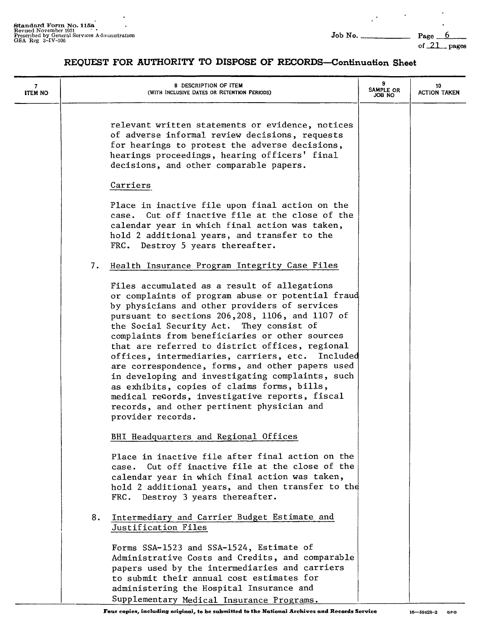$\frac{1}{2}$  ,  $\frac{1}{2}$  ,  $\frac{1}{2}$ 

of  $21$  pages

 $\ddot{\phantom{a}}$ 

| 7<br><b>ITEM NO</b> |    | 8 DESCRIPTION OF ITEM<br>(WITH INCLUSIVE DATES OR RETENTION PERIODS)                                                                                                                                                                                                                                                                                                                                                                                                                                                                                                                                                                                                                    | SAMPLE OR<br>JOB NO | 10<br><b>ACTION TAKEN</b> |
|---------------------|----|-----------------------------------------------------------------------------------------------------------------------------------------------------------------------------------------------------------------------------------------------------------------------------------------------------------------------------------------------------------------------------------------------------------------------------------------------------------------------------------------------------------------------------------------------------------------------------------------------------------------------------------------------------------------------------------------|---------------------|---------------------------|
|                     |    | relevant written statements or evidence, notices<br>of adverse informal review decisions, requests<br>for hearings to protest the adverse decisions,<br>hearings proceedings, hearing officers' final<br>decisions, and other comparable papers.                                                                                                                                                                                                                                                                                                                                                                                                                                        |                     |                           |
|                     |    | Carriers                                                                                                                                                                                                                                                                                                                                                                                                                                                                                                                                                                                                                                                                                |                     |                           |
|                     |    | Place in inactive file upon final action on the<br>case. Cut off inactive file at the close of the<br>calendar year in which final action was taken,<br>hold 2 additional years, and transfer to the<br>FRC. Destroy 5 years thereafter.                                                                                                                                                                                                                                                                                                                                                                                                                                                |                     |                           |
|                     |    | 7. Health Insurance Program Integrity Case Files                                                                                                                                                                                                                                                                                                                                                                                                                                                                                                                                                                                                                                        |                     |                           |
|                     |    | Files accumulated as a result of allegations<br>or complaints of program abuse or potential fraud<br>by physicians and other providers of services<br>pursuant to sections 206, 208, 1106, and 1107 of<br>the Social Security Act. They consist of<br>complaints from beneficiaries or other sources<br>that are referred to district offices, regional<br>offices, intermediaries, carriers, etc. Included<br>are correspondence, forms, and other papers used<br>in developing and investigating complaints, such<br>as exhibits, copies of claims forms, bills,<br>medical records, investigative reports, fiscal<br>records, and other pertinent physician and<br>provider records. |                     |                           |
|                     |    | BHI Headquarters and Regional Offices                                                                                                                                                                                                                                                                                                                                                                                                                                                                                                                                                                                                                                                   |                     |                           |
|                     |    | Place in inactive file after final action on the<br>case. Cut off inactive file at the close of the<br>calendar year in which final action was taken,<br>hold 2 additional years, and then transfer to the<br>FRC. Destroy 3 years thereafter.                                                                                                                                                                                                                                                                                                                                                                                                                                          |                     |                           |
|                     | 8. | Intermediary and Carrier Budget Estimate and<br>Justification Files                                                                                                                                                                                                                                                                                                                                                                                                                                                                                                                                                                                                                     |                     |                           |
|                     |    | Forms SSA-1523 and SSA-1524, Estimate of<br>Administrative Costs and Credits, and comparable<br>papers used by the intermediaries and carriers<br>to submit their annual cost estimates for<br>administering the Hospital Insurance and<br>Supplementary Medical Insurance Programs.                                                                                                                                                                                                                                                                                                                                                                                                    |                     |                           |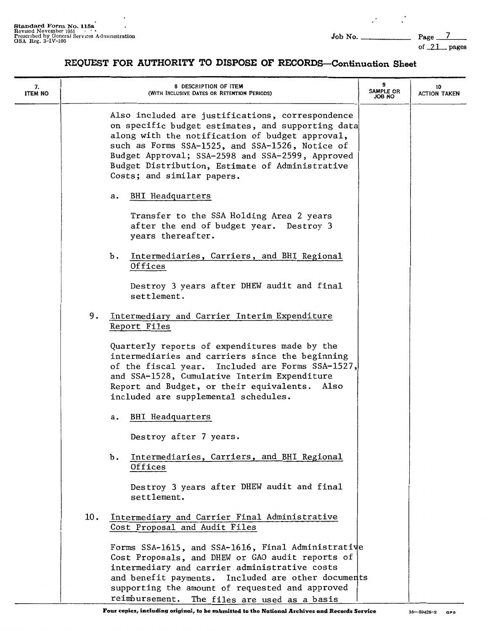$\mathcal{F}^{\text{max}}$ 

of \_2l\_pages

| 7.<br><b>ITEM NO</b> |     | 8 DESCRIPTION OF ITEM<br>(WITH INCLUSIVE DATES OR RETENTION PERIODS)                                                                                                                                                                                                                                                                             | 9<br>SAMPLE OR<br>JOB NO | 10<br><b>ACTION TAKEN</b> |
|----------------------|-----|--------------------------------------------------------------------------------------------------------------------------------------------------------------------------------------------------------------------------------------------------------------------------------------------------------------------------------------------------|--------------------------|---------------------------|
|                      |     | Also included are justifications, correspondence<br>on specific budget estimates, and supporting data<br>along with the notification of budget approval,<br>such as Forms SSA-1525, and SSA-1526, Notice of<br>Budget Approval; SSA-2598 and SSA-2599, Approved<br>Budget Distribution, Estimate of Administrative<br>Costs; and similar papers. |                          |                           |
|                      |     | <b>BHI</b> Headquarters<br>а.                                                                                                                                                                                                                                                                                                                    |                          |                           |
|                      |     | Transfer to the SSA Holding Area 2 years<br>after the end of budget year. Destroy 3<br>years thereafter.                                                                                                                                                                                                                                         |                          |                           |
|                      |     | b. Intermediaries, Carriers, and BHI Regional<br>Offices                                                                                                                                                                                                                                                                                         |                          |                           |
|                      |     | Destroy 3 years after DHEW audit and final<br>settlement.                                                                                                                                                                                                                                                                                        |                          |                           |
|                      | 9.  | Intermediary and Carrier Interim Expenditure<br>Report Files                                                                                                                                                                                                                                                                                     |                          |                           |
|                      |     | Quarterly reports of expenditures made by the<br>intermediaries and carriers since the beginning<br>of the fiscal year. Included are Forms SSA-1527,<br>and SSA-1528, Cumulative Interim Expenditure<br>Report and Budget, or their equivalents. Also<br>included are supplemental schedules.                                                    |                          |                           |
|                      |     | <b>BHI</b> Headquarters<br>а.                                                                                                                                                                                                                                                                                                                    |                          |                           |
|                      |     | Destroy after 7 years.                                                                                                                                                                                                                                                                                                                           |                          |                           |
|                      |     | Intermediaries, Carriers, and BHI Regional<br>Ъ.<br>Offices                                                                                                                                                                                                                                                                                      |                          |                           |
|                      |     | Destroy 3 years after DHEW audit and final<br>settlement.                                                                                                                                                                                                                                                                                        |                          |                           |
|                      | 10. | Intermediary and Carrier Final Administrative<br>Cost Proposal and Audit Files                                                                                                                                                                                                                                                                   |                          |                           |
|                      |     | Forms SSA-1615, and SSA-1616, Final Administrative<br>Cost Proposals, and DHEW or GAO audit reports of<br>intermediary and carrier administrative costs<br>and benefit payments. Included are other documents<br>supporting the amount of requested and approved<br>reimbursement.<br>The files are used as a basis                              |                          |                           |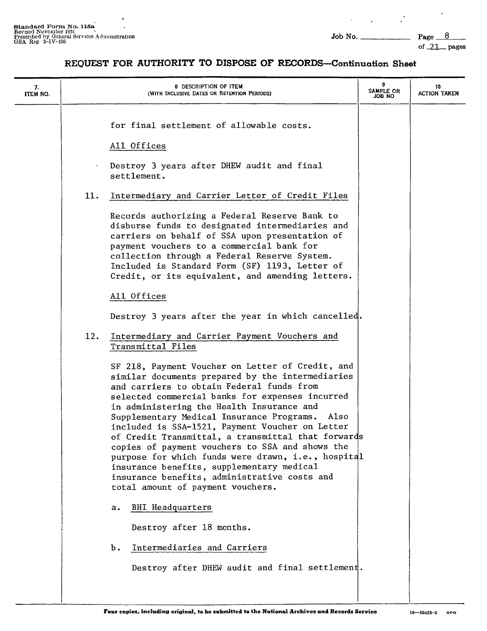$\sim 10^{11}$  $\bar{\mathcal{L}}$ 

 $\ddot{\phantom{a}}$ 

of  $21$  pages

 $\overline{\phantom{a}}$ 

| 7.<br>ITEM NO. |     | 8 DESCRIPTION OF ITEM<br>(WITH INCLUSIVE DATES OR RETENTION PERIODS)                                                                                                                                                                                                                                                                                                                                                                                                                                                                                                                                                                                       | SAMPLE OR<br>ON 8OL | 10<br><b>ACTION TAKEN</b> |
|----------------|-----|------------------------------------------------------------------------------------------------------------------------------------------------------------------------------------------------------------------------------------------------------------------------------------------------------------------------------------------------------------------------------------------------------------------------------------------------------------------------------------------------------------------------------------------------------------------------------------------------------------------------------------------------------------|---------------------|---------------------------|
|                |     | for final settlement of allowable costs.                                                                                                                                                                                                                                                                                                                                                                                                                                                                                                                                                                                                                   |                     |                           |
|                |     | All Offices<br>Destroy 3 years after DHEW audit and final<br>settlement.                                                                                                                                                                                                                                                                                                                                                                                                                                                                                                                                                                                   |                     |                           |
|                | 11. | Intermediary and Carrier Letter of Credit Files                                                                                                                                                                                                                                                                                                                                                                                                                                                                                                                                                                                                            |                     |                           |
|                |     | Records authorizing a Federal Reserve Bank to<br>disburse funds to designated intermediaries and<br>carriers on behalf of SSA upon presentation of<br>payment vouchers to a commercial bank for<br>collection through a Federal Reserve System.<br>Included is Standard Form (SF) 1193, Letter of<br>Credit, or its equivalent, and amending letters.                                                                                                                                                                                                                                                                                                      |                     |                           |
|                |     | All Offices                                                                                                                                                                                                                                                                                                                                                                                                                                                                                                                                                                                                                                                |                     |                           |
|                |     | Destroy 3 years after the year in which cancelled.                                                                                                                                                                                                                                                                                                                                                                                                                                                                                                                                                                                                         |                     |                           |
|                | 12. | Intermediary and Carrier Payment Vouchers and<br>Transmittal Files                                                                                                                                                                                                                                                                                                                                                                                                                                                                                                                                                                                         |                     |                           |
|                |     | SF 218, Payment Voucher on Letter of Credit, and<br>similar documents prepared by the intermediaries<br>and carriers to obtain Federal funds from<br>selected commercial banks for expenses incurred<br>in administering the Health Insurance and<br>Supplementary Medical Insurance Programs.<br>Also<br>included is SSA-1521, Payment Voucher on Letter<br>of Credit Transmittal, a transmittal that forwards<br>copies of payment vouchers to SSA and shows the<br>purpose for which funds were drawn, i.e., hospital<br>insurance benefits, supplementary medical<br>insurance benefits, administrative costs and<br>total amount of payment vouchers. |                     |                           |
|                |     | BHI Headquarters<br>а.                                                                                                                                                                                                                                                                                                                                                                                                                                                                                                                                                                                                                                     |                     |                           |
|                |     | Destroy after 18 months.                                                                                                                                                                                                                                                                                                                                                                                                                                                                                                                                                                                                                                   |                     |                           |
|                |     | Intermediaries and Carriers<br>Ъ.                                                                                                                                                                                                                                                                                                                                                                                                                                                                                                                                                                                                                          |                     |                           |
|                |     | Destroy after DHEW audit and final settlement.                                                                                                                                                                                                                                                                                                                                                                                                                                                                                                                                                                                                             |                     |                           |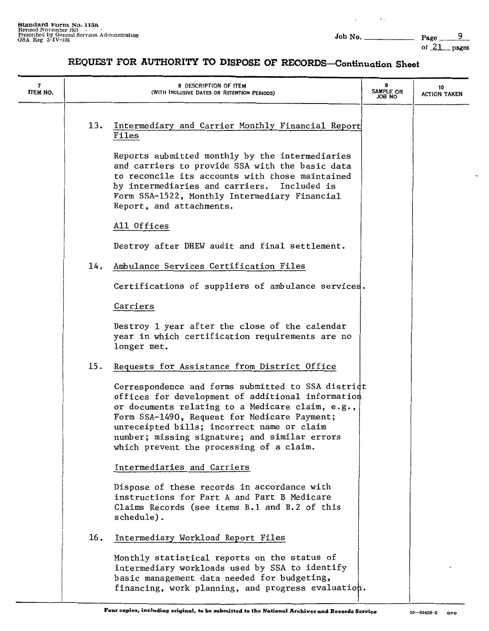$\sim$  .

 $\mathcal{L}^{\text{max}}$ 

| 7<br>ITEM NO. |     | 8 DESCRIPTION OF ITEM<br>(WITH INCLUSIVE DATES OR RETENTION PERIODS)                                                                                                                                                                                                                                                                                   | 9<br>SAMPLE OR<br>JOB NO | 10<br><b>ACTION TAKEN</b> |
|---------------|-----|--------------------------------------------------------------------------------------------------------------------------------------------------------------------------------------------------------------------------------------------------------------------------------------------------------------------------------------------------------|--------------------------|---------------------------|
|               | 13. | Intermediary and Carrier Monthly Financial Report<br>Files<br>Reports submitted monthly by the intermediaries<br>and carriers to provide SSA with the basic data<br>to reconcile its accounts with those maintained<br>by intermediaries and carriers. Included is<br>Form SSA-1522, Monthly Intermediary Financial<br>Report, and attachments.        |                          |                           |
|               |     | All Offices                                                                                                                                                                                                                                                                                                                                            |                          |                           |
|               |     | Destroy after DHEW audit and final settlement.                                                                                                                                                                                                                                                                                                         |                          |                           |
|               | 14. | Ambulance Services Certification Files                                                                                                                                                                                                                                                                                                                 |                          |                           |
|               |     | Certifications of suppliers of ambulance services.                                                                                                                                                                                                                                                                                                     |                          |                           |
|               |     | Carriers                                                                                                                                                                                                                                                                                                                                               |                          |                           |
|               |     | Destroy 1 year after the close of the calendar<br>year in which certification requirements are no<br>longer met.                                                                                                                                                                                                                                       |                          |                           |
|               | 15. | Requests for Assistance from District Office                                                                                                                                                                                                                                                                                                           |                          |                           |
|               |     | Correspondence and forms submitted to SSA district<br>offices for development of additional information<br>or documents relating to a Medicare claim, e.g.,<br>Form SSA-1490, Request for Medicare Payment;<br>unreceipted bills; incorrect name or claim<br>number; missing signature; and similar errors<br>which prevent the processing of a claim. |                          |                           |
|               |     | Intermediaries and Carriers                                                                                                                                                                                                                                                                                                                            |                          |                           |
|               |     | Dispose of these records in accordance with<br>instructions for Part A and Part B Medicare<br>Claims Records (see items B.1 and B.2 of this<br>schedule).                                                                                                                                                                                              |                          |                           |
|               | 16. | Intermediary Workload Report Files                                                                                                                                                                                                                                                                                                                     |                          |                           |
|               |     | Monthly statistical reports on the status of<br>intermediary workloads used by SSA to identify<br>basic management data needed for budgeting,<br>financing, work planning, and progress evaluation.                                                                                                                                                    |                          |                           |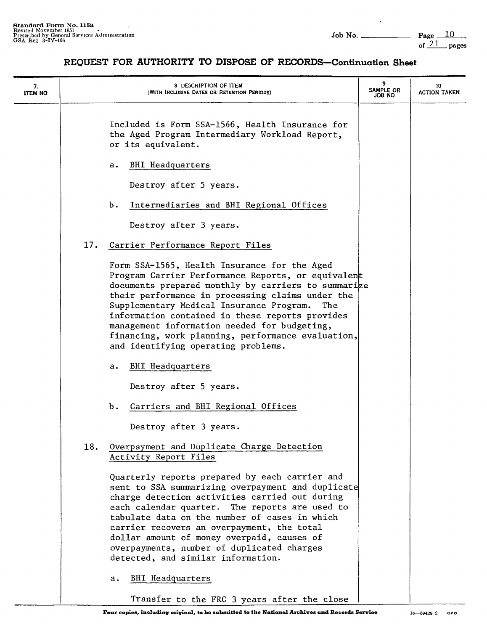| 7.<br><b>ITEM NO</b> |     | 8 DESCRIPTION OF ITEM<br>(WITH INCLUSIVE DATES OR RETENTION PERIODS)                                                                                                                                                                                                                                                                                                                                                                                            | 9<br>SAMPLE OR<br>ON 8OL | 10<br><b>ACTION TAKEN</b> |
|----------------------|-----|-----------------------------------------------------------------------------------------------------------------------------------------------------------------------------------------------------------------------------------------------------------------------------------------------------------------------------------------------------------------------------------------------------------------------------------------------------------------|--------------------------|---------------------------|
|                      |     | Included is Form SSA-1566, Health Insurance for<br>the Aged Program Intermediary Workload Report,<br>or its equivalent.                                                                                                                                                                                                                                                                                                                                         |                          |                           |
|                      |     | <b>BHI</b> Headquarters<br>a.                                                                                                                                                                                                                                                                                                                                                                                                                                   |                          |                           |
|                      |     | Destroy after 5 years.                                                                                                                                                                                                                                                                                                                                                                                                                                          |                          |                           |
|                      |     | b.<br>Intermediaries and BHI Regional Offices                                                                                                                                                                                                                                                                                                                                                                                                                   |                          |                           |
|                      |     | Destroy after 3 years.                                                                                                                                                                                                                                                                                                                                                                                                                                          |                          |                           |
|                      | 17. | Carrier Performance Report Files                                                                                                                                                                                                                                                                                                                                                                                                                                |                          |                           |
|                      |     | Form SSA-1565, Health Insurance for the Aged<br>Program Carrier Performance Reports, or equivalent<br>documents prepared monthly by carriers to summarize<br>their performance in processing claims under the<br>Supplementary Medical Insurance Program.<br>The<br>information contained in these reports provides<br>management information needed for budgeting,<br>financing, work planning, performance evaluation,<br>and identifying operating problems. |                          |                           |
|                      |     | <b>BHI</b> Headquarters<br>а.                                                                                                                                                                                                                                                                                                                                                                                                                                   |                          |                           |
|                      |     | Destroy after 5 years.                                                                                                                                                                                                                                                                                                                                                                                                                                          |                          |                           |
|                      |     | <b>b</b> .<br>Carriers and BHI Regional Offices                                                                                                                                                                                                                                                                                                                                                                                                                 |                          |                           |
|                      |     | Destroy after 3 years.                                                                                                                                                                                                                                                                                                                                                                                                                                          |                          |                           |
|                      | 18. | Overpayment and Duplicate Charge Detection<br>Activity Report Files                                                                                                                                                                                                                                                                                                                                                                                             |                          |                           |
|                      |     | Quarterly reports prepared by each carrier and<br>sent to SSA summarizing overpayment and duplicate<br>charge detection activities carried out during<br>each calendar quarter. The reports are used to<br>tabulate data on the number of cases in which<br>carrier recovers an overpayment, the total<br>dollar amount of money overpaid, causes of<br>overpayments, number of duplicated charges<br>detected, and similar information.                        |                          |                           |
|                      |     | <b>BHI</b> Headquarters<br>а.                                                                                                                                                                                                                                                                                                                                                                                                                                   |                          |                           |
|                      |     | Transfer to the FRC 3 years after the close                                                                                                                                                                                                                                                                                                                                                                                                                     |                          |                           |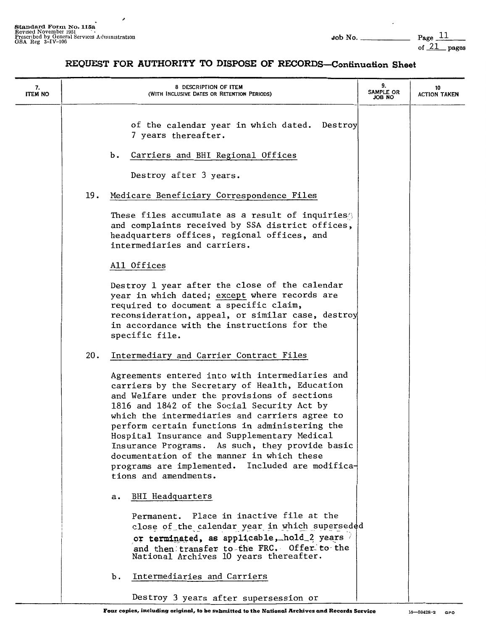| 7.<br><b>ITEM NO</b> |     | 8 DESCRIPTION OF ITEM<br>(WITH INCLUSIVE DATES OR RETENTION PERIODS)                                                                                                                                                                                                                                                                                                                                                                                                                                                               | 9.<br>SAMPLE OR<br>JOB NO | 10<br><b>ACTION TAKEN</b> |
|----------------------|-----|------------------------------------------------------------------------------------------------------------------------------------------------------------------------------------------------------------------------------------------------------------------------------------------------------------------------------------------------------------------------------------------------------------------------------------------------------------------------------------------------------------------------------------|---------------------------|---------------------------|
|                      |     | of the calendar year in which dated. Destroy<br>7 years thereafter.<br>Carriers and BHI Regional Offices<br>$\mathbf b$ .<br>Destroy after 3 years.                                                                                                                                                                                                                                                                                                                                                                                |                           |                           |
|                      | 19. | Medicare Beneficiary Correspondence Files                                                                                                                                                                                                                                                                                                                                                                                                                                                                                          |                           |                           |
|                      |     | These files accumulate as a result of inquiries $\Diamond$<br>and complaints received by SSA district offices,<br>headquarters offices, regional offices, and<br>intermediaries and carriers.                                                                                                                                                                                                                                                                                                                                      |                           |                           |
|                      |     | All Offices                                                                                                                                                                                                                                                                                                                                                                                                                                                                                                                        |                           |                           |
|                      |     | Destroy 1 year after the close of the calendar<br>year in which dated; except where records are<br>required to document a specific claim,<br>reconsideration, appeal, or similar case, destroy<br>in accordance with the instructions for the<br>specific file.                                                                                                                                                                                                                                                                    |                           |                           |
|                      | 20. | Intermediary and Carrier Contract Files                                                                                                                                                                                                                                                                                                                                                                                                                                                                                            |                           |                           |
|                      |     | Agreements entered into with intermediaries and<br>carriers by the Secretary of Health, Education<br>and Welfare under the provisions of sections<br>1816 and 1842 of the Social Security Act by<br>which the intermediaries and carriers agree to<br>perform certain functions in administering the<br>Hospital Insurance and Supplementary Medical<br>Insurance Programs. As such, they provide basic<br>documentation of the manner in which these<br>programs are implemented. Included are modifica-<br>tions and amendments. |                           |                           |
|                      |     | <b>BHI</b> Headquarters<br>а.                                                                                                                                                                                                                                                                                                                                                                                                                                                                                                      |                           |                           |
|                      |     | Permanent. Place in inactive file at the<br>close of the calendar year in which superseded<br>or terminated, as applicable, hold 2 years ?<br>and then transfer to the FRC. Offer to the<br>National Archives 10 years thereafter.                                                                                                                                                                                                                                                                                                 |                           |                           |
|                      |     | Intermediaries and Carriers<br>Ъ.                                                                                                                                                                                                                                                                                                                                                                                                                                                                                                  |                           |                           |
|                      |     | Destroy 3 years after supersession or                                                                                                                                                                                                                                                                                                                                                                                                                                                                                              |                           |                           |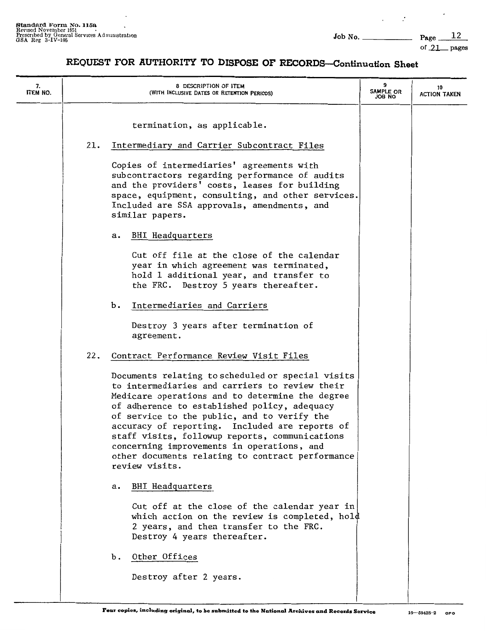$\overline{a}$ 

 $\cdot$ 

of 21\_pages

 $\epsilon$ 

| 7.<br><b>ITEM NO.</b> |     | 8 DESCRIPTION OF ITEM<br>(WITH INCLUSIVE DATES OR RETENTION PERIODS)                                                                                                                                                                                                                                                                                                                                                                                                          | SAMPLE OR<br>OA BOL | 10<br><b>ACTION TAKEN</b> |
|-----------------------|-----|-------------------------------------------------------------------------------------------------------------------------------------------------------------------------------------------------------------------------------------------------------------------------------------------------------------------------------------------------------------------------------------------------------------------------------------------------------------------------------|---------------------|---------------------------|
|                       | 21. | termination, as applicable.<br>Intermediary and Carrier Subcontract Files<br>Copies of intermediaries' agreements with<br>subcontractors regarding performance of audits                                                                                                                                                                                                                                                                                                      |                     |                           |
|                       |     | and the providers' costs, leases for building<br>space, equipment, consulting, and other services.<br>Included are SSA approvals, amendments, and<br>similar papers.                                                                                                                                                                                                                                                                                                          |                     |                           |
|                       |     | BHI Headquarters<br>а.                                                                                                                                                                                                                                                                                                                                                                                                                                                        |                     |                           |
|                       |     | Cut off file at the close of the calendar<br>year in which agreement was terminated,<br>hold 1 additional year, and transfer to<br>the FRC. Destroy 5 years thereafter.                                                                                                                                                                                                                                                                                                       |                     |                           |
|                       |     | Intermediaries and Carriers<br>Ъ.                                                                                                                                                                                                                                                                                                                                                                                                                                             |                     |                           |
|                       |     | Destroy 3 years after termination of<br>agreement.                                                                                                                                                                                                                                                                                                                                                                                                                            |                     |                           |
|                       | 22. | Contract Performance Review Visit Files                                                                                                                                                                                                                                                                                                                                                                                                                                       |                     |                           |
|                       |     | Documents relating to scheduled or special visits<br>to intermediaries and carriers to review their<br>Medicare operations and to determine the degree<br>of adherence to established policy, adequacy<br>of service to the public, and to verify the<br>accuracy of reporting. Included are reports of<br>staff visits, followup reports, communications<br>concerning improvements in operations, and<br>other documents relating to contract performance<br>review visits. |                     |                           |
|                       |     | BHI Headquarters<br>а.                                                                                                                                                                                                                                                                                                                                                                                                                                                        |                     |                           |
|                       |     | Cut off at the close of the calendar year in<br>which action on the review is completed, hold<br>2 years, and then transfer to the FRC.<br>Destroy 4 years thereafter.                                                                                                                                                                                                                                                                                                        |                     |                           |
|                       |     | Other Offices<br>Ъ.                                                                                                                                                                                                                                                                                                                                                                                                                                                           |                     |                           |
|                       |     | Destroy after 2 years.                                                                                                                                                                                                                                                                                                                                                                                                                                                        |                     |                           |
|                       |     |                                                                                                                                                                                                                                                                                                                                                                                                                                                                               |                     |                           |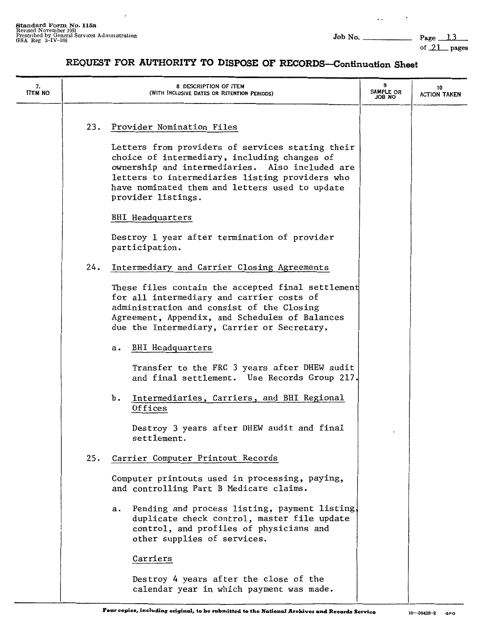$\ddot{\phantom{a}}$  .

 $\cdot$ 

| 7.<br><b>ITEM NO</b> |     | 8 DESCRIPTION OF ITEM<br>(WITH INCLUSIVE DATES OR RETENTION PERIODS)                                                                                                                                                                                                                                                                                                                                             | 9<br>SAMPLE OR<br>ON BOL | 10<br><b>ACTION TAKEN</b> |
|----------------------|-----|------------------------------------------------------------------------------------------------------------------------------------------------------------------------------------------------------------------------------------------------------------------------------------------------------------------------------------------------------------------------------------------------------------------|--------------------------|---------------------------|
|                      | 23. | Provider Nomination Files<br>Letters from providers of services stating their<br>choice of intermediary, including changes of<br>ownership and intermediaries. Also included are<br>letters to intermediaries listing providers who<br>have nominated them and letters used to update<br>provider listings.                                                                                                      |                          |                           |
|                      |     | <b>BHI</b> Headquarters<br>Destroy 1 year after termination of provider<br>participation.                                                                                                                                                                                                                                                                                                                        |                          |                           |
|                      | 24. | Intermediary and Carrier Closing Agreements<br>These files contain the accepted final settlement<br>for all intermediary and carrier costs of<br>administration and consist of the Closing<br>Agreement, Appendix, and Schedules of Balances<br>due the Intermediary, Carrier or Secretary.                                                                                                                      |                          |                           |
|                      |     | <b>BHI</b> Headquarters<br>$a \cdot$<br>Transfer to the FRC 3 years after DHEW audit<br>and final settlement. Use Records Group 217.<br>Intermediaries, Carriers, and BHI Regional<br>Ъ.<br>Offices<br>Destroy 3 years after DHEW audit and final<br>settlement.                                                                                                                                                 |                          |                           |
|                      | 25. | Carrier Computer Printout Records<br>Computer printouts used in processing, paying,<br>and controlling Part B Medicare claims.<br>Pending and process listing, payment listing,<br>а.<br>duplicate check control, master file update<br>control, and profiles of physicians and<br>other supplies of services.<br>Carriers<br>Destroy 4 years after the close of the<br>calendar year in which payment was made. |                          |                           |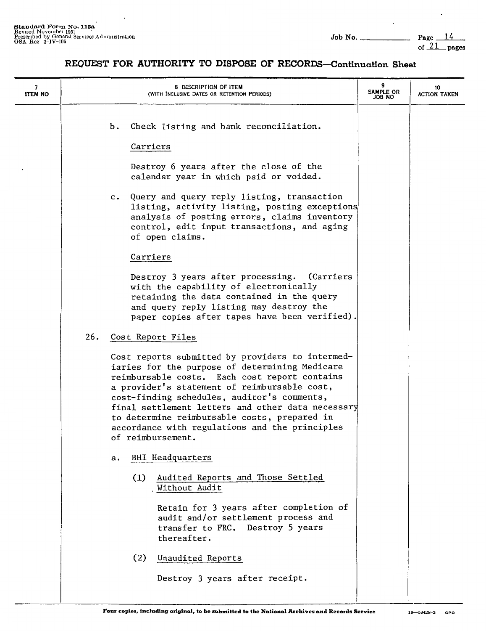| 7<br><b>ITEM NO</b> |     |          | 8 DESCRIPTION OF ITEM<br>(WITH INCLUSIVE DATES OR RETENTION PERIODS)                                                                                                                                                                                                                                                                                                                                                           | g<br>SAMPLE OR<br><b>JOB NO</b> | 10<br><b>ACTION TAKEN</b> |
|---------------------|-----|----------|--------------------------------------------------------------------------------------------------------------------------------------------------------------------------------------------------------------------------------------------------------------------------------------------------------------------------------------------------------------------------------------------------------------------------------|---------------------------------|---------------------------|
|                     |     |          | b. Check listing and bank reconciliation.                                                                                                                                                                                                                                                                                                                                                                                      |                                 |                           |
|                     |     | Carriers | Destroy 6 years after the close of the<br>calendar year in which paid or voided.                                                                                                                                                                                                                                                                                                                                               |                                 |                           |
|                     |     |          | c. Query and query reply listing, transaction<br>listing, activity listing, posting exceptions<br>analysis of posting errors, claims inventory<br>control, edit input transactions, and aging<br>of open claims.                                                                                                                                                                                                               |                                 |                           |
|                     |     | Carriers |                                                                                                                                                                                                                                                                                                                                                                                                                                |                                 |                           |
|                     |     |          | Destroy 3 years after processing. (Carriers<br>with the capability of electronically<br>retaining the data contained in the query<br>and query reply listing may destroy the<br>paper copies after tapes have been verified).                                                                                                                                                                                                  |                                 |                           |
|                     | 26. |          | Cost Report Files                                                                                                                                                                                                                                                                                                                                                                                                              |                                 |                           |
|                     |     |          | Cost reports submitted by providers to intermed-<br>iaries for the purpose of determining Medicare<br>reimbursable costs. Each cost report contains<br>a provider's statement of reimbursable cost,<br>cost-finding schedules, auditor's comments,<br>final settlement letters and other data necessary<br>to determine reimbursable costs, prepared in<br>accordance with regulations and the principles<br>of reimbursement. |                                 |                           |
|                     |     | а.       | <b>BHI</b> Headquarters                                                                                                                                                                                                                                                                                                                                                                                                        |                                 |                           |
|                     |     | (1)      | Audited Reports and Those Settled<br>Without Audit                                                                                                                                                                                                                                                                                                                                                                             |                                 |                           |
|                     |     |          | Retain for 3 years after completion of<br>audit and/or settlement process and<br>transfer to FRC. Destroy 5 years<br>thereafter.                                                                                                                                                                                                                                                                                               |                                 |                           |
|                     |     | (2)      | Unaudited Reports                                                                                                                                                                                                                                                                                                                                                                                                              |                                 |                           |
|                     |     |          | Destroy 3 years after receipt.                                                                                                                                                                                                                                                                                                                                                                                                 |                                 |                           |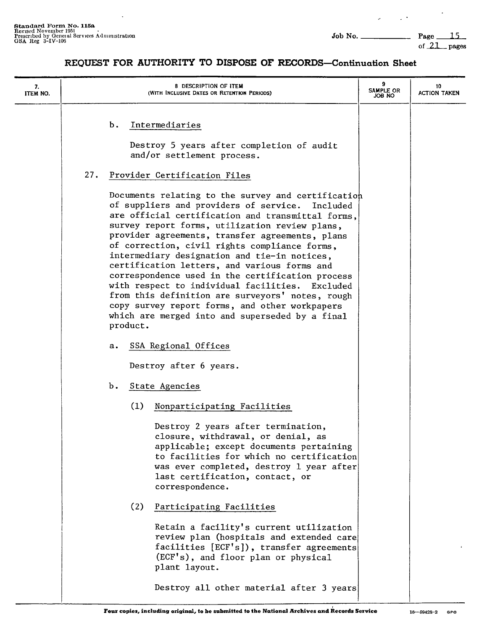$\mathbf{r}$ 

 $\mathbb{R}^{\mathbb{Z}^2}$ 

 $\ddot{\phantom{a}}$ 

| 7.<br>ITEM NO. |     |    |          | 8 DESCRIPTION OF ITEM<br>(WITH INCLUSIVE DATES OR RETENTION PERIODS)                                                                                                                                                                                                                                                                                                                                                                                                                                                                                                                                                                                                                | 9<br>SAMPLE OR<br>JOB NO | 10<br><b>ACTION TAKEN</b> |
|----------------|-----|----|----------|-------------------------------------------------------------------------------------------------------------------------------------------------------------------------------------------------------------------------------------------------------------------------------------------------------------------------------------------------------------------------------------------------------------------------------------------------------------------------------------------------------------------------------------------------------------------------------------------------------------------------------------------------------------------------------------|--------------------------|---------------------------|
|                |     | Ъ. |          | Intermediaries<br>Destroy 5 years after completion of audit<br>and/or settlement process.                                                                                                                                                                                                                                                                                                                                                                                                                                                                                                                                                                                           |                          |                           |
|                | 27. |    |          | Provider Certification Files                                                                                                                                                                                                                                                                                                                                                                                                                                                                                                                                                                                                                                                        |                          |                           |
|                |     |    | product. | Documents relating to the survey and certification<br>of suppliers and providers of service.<br>Included<br>are official certification and transmittal forms,<br>survey report forms, utilization review plans,<br>provider agreements, transfer agreements, plans<br>of correction, civil rights compliance forms,<br>intermediary designation and tie-in notices,<br>certification letters, and various forms and<br>correspondence used in the certification process<br>with respect to individual facilities. Excluded<br>from this definition are surveyors' notes, rough<br>copy survey report forms, and other workpapers<br>which are merged into and superseded by a final |                          |                           |
|                |     | а. |          | SSA Regional Offices                                                                                                                                                                                                                                                                                                                                                                                                                                                                                                                                                                                                                                                                |                          |                           |
|                |     |    |          | Destroy after 6 years.                                                                                                                                                                                                                                                                                                                                                                                                                                                                                                                                                                                                                                                              |                          |                           |
|                |     | Ъ. |          | State Agencies                                                                                                                                                                                                                                                                                                                                                                                                                                                                                                                                                                                                                                                                      |                          |                           |
|                |     |    | (1)      | Nonparticipating Facilities                                                                                                                                                                                                                                                                                                                                                                                                                                                                                                                                                                                                                                                         |                          |                           |
|                |     |    |          | Destroy 2 years after termination,<br>closure, withdrawal, or denial, as<br>applicable; except documents pertaining<br>to facilities for which no certification<br>was ever completed, destroy 1 year after<br>last certification, contact, or<br>correspondence.                                                                                                                                                                                                                                                                                                                                                                                                                   |                          |                           |
|                |     |    | (2)      | Participating Facilities                                                                                                                                                                                                                                                                                                                                                                                                                                                                                                                                                                                                                                                            |                          |                           |
|                |     |    |          | Retain a facility's current utilization<br>review plan (hospitals and extended care)<br>facilities [ECF's]), transfer agreements<br>(ECF's), and floor plan or physical<br>plant layout.                                                                                                                                                                                                                                                                                                                                                                                                                                                                                            |                          |                           |
|                |     |    |          | Destroy all other material after 3 years                                                                                                                                                                                                                                                                                                                                                                                                                                                                                                                                                                                                                                            |                          |                           |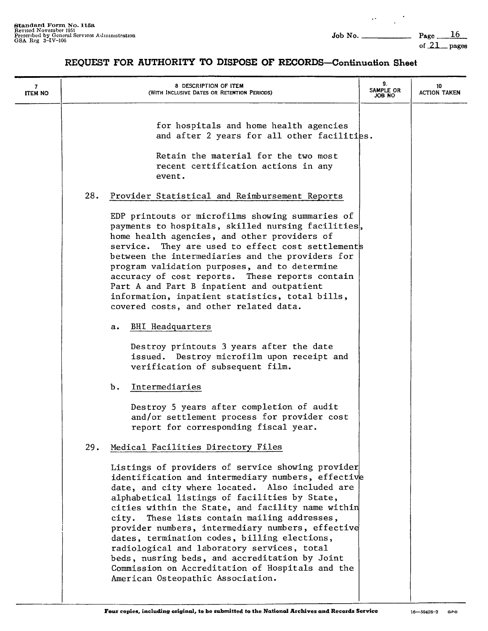$\mathcal{L}(\mathcal{C})$ 

of  $21$  pages

| 7<br><b>ITEM NO</b> | 8 DESCRIPTION OF ITEM<br>(WITH INCLUSIVE DATES OR RETENTION PERIODS)                                                                                                                                                                                                                                                                                                                                                                                                                                                                                                                                                                                                                                                                       | 9.<br>SAMPLE OR<br>ON 8OL | 10<br><b>ACTION TAKEN</b> |
|---------------------|--------------------------------------------------------------------------------------------------------------------------------------------------------------------------------------------------------------------------------------------------------------------------------------------------------------------------------------------------------------------------------------------------------------------------------------------------------------------------------------------------------------------------------------------------------------------------------------------------------------------------------------------------------------------------------------------------------------------------------------------|---------------------------|---------------------------|
|                     | for hospitals and home health agencies<br>and after 2 years for all other facilities.<br>Retain the material for the two most<br>recent certification actions in any<br>event.                                                                                                                                                                                                                                                                                                                                                                                                                                                                                                                                                             |                           |                           |
| 28.                 | Provider Statistical and Reimbursement Reports<br>EDP printouts or microfilms showing summaries of<br>payments to hospitals, skilled nursing facilities,<br>home health agencies, and other providers of<br>service. They are used to effect cost settlements<br>between the intermediaries and the providers for<br>program validation purposes, and to determine<br>accuracy of cost reports. These reports contain<br>Part A and Part B inpatient and outpatient<br>information, inpatient statistics, total bills,<br>covered costs, and other related data.<br><b>BHI</b> Headquarters<br>$a_{\bullet}$<br>Destroy printouts 3 years after the date<br>issued. Destroy microfilm upon receipt and<br>verification of subsequent film. |                           |                           |
|                     | Intermediaries<br>b.<br>Destroy 5 years after completion of audit<br>and/or settlement process for provider cost<br>report for corresponding fiscal year.                                                                                                                                                                                                                                                                                                                                                                                                                                                                                                                                                                                  |                           |                           |
| 29.                 | Medical Facilities Directory Files<br>Listings of providers of service showing provider<br>identification and intermediary numbers, effective<br>date, and city where located. Also included are<br>alphabetical listings of facilities by State,<br>cities within the State, and facility name within<br>These lists contain mailing addresses,<br>city.<br>provider numbers, intermediary numbers, effective<br>dates, termination codes, billing elections,<br>radiological and laboratory services, total<br>beds, nusring beds, and accreditation by Joint<br>Commission on Accreditation of Hospitals and the<br>American Osteopathic Association.                                                                                   |                           |                           |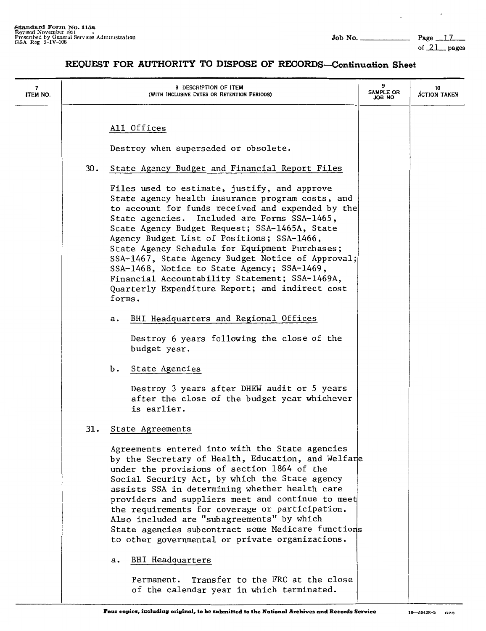$\overline{a}$ 

 $\overline{\phantom{a}}$ 

| 7<br>ITEM NO. |     | 8 DESCRIPTION OF ITEM<br>(WITH INCLUSIVE DATES OR RETENTION PERIODS)                                                                                                                                                                                                                                                                                                                                                                                                                                                                                                      | 9<br>SAMPLE OR<br>ON BOL | 10<br>ACTION TAKEN |
|---------------|-----|---------------------------------------------------------------------------------------------------------------------------------------------------------------------------------------------------------------------------------------------------------------------------------------------------------------------------------------------------------------------------------------------------------------------------------------------------------------------------------------------------------------------------------------------------------------------------|--------------------------|--------------------|
|               |     | All Offices<br>Destroy when superseded or obsolete.                                                                                                                                                                                                                                                                                                                                                                                                                                                                                                                       |                          |                    |
|               | 30. | State Agency Budget and Financial Report Files                                                                                                                                                                                                                                                                                                                                                                                                                                                                                                                            |                          |                    |
|               |     | Files used to estimate, justify, and approve<br>State agency health insurance program costs, and<br>to account for funds received and expended by the<br>State agencies. Included are Forms SSA-1465,<br>State Agency Budget Request; SSA-1465A, State<br>Agency Budget List of Positions; SSA-1466,<br>State Agency Schedule for Equipment Purchases;<br>SSA-1467, State Agency Budget Notice of Approval;<br>SSA-1468, Notice to State Agency; SSA-1469,<br>Financial Accountability Statement; SSA-1469A,<br>Quarterly Expenditure Report; and indirect cost<br>forms. |                          |                    |
|               |     | BHI Headquarters and Regional Offices<br>$a$ .                                                                                                                                                                                                                                                                                                                                                                                                                                                                                                                            |                          |                    |
|               |     | Destroy 6 years following the close of the<br>budget year.                                                                                                                                                                                                                                                                                                                                                                                                                                                                                                                |                          |                    |
|               |     | State Agencies<br>Ъ.                                                                                                                                                                                                                                                                                                                                                                                                                                                                                                                                                      |                          |                    |
|               |     | Destroy 3 years after DHEW audit or 5 years<br>after the close of the budget year whichever<br>is earlier.                                                                                                                                                                                                                                                                                                                                                                                                                                                                |                          |                    |
|               | 31. | State Agreements                                                                                                                                                                                                                                                                                                                                                                                                                                                                                                                                                          |                          |                    |
|               |     | Agreements entered into with the State agencies<br>by the Secretary of Health, Education, and Welfare<br>under the provisions of section 1864 of the<br>Social Security Act, by which the State agency<br>assists SSA in determining whether health care<br>providers and suppliers meet and continue to meet<br>the requirements for coverage or participation.<br>Also included are "subagreements" by which<br>State agencies subcontract some Medicare functions<br>to other governmental or private organizations.                                                   |                          |                    |
|               |     | BHI Headquarters<br>$a_{\bullet}$                                                                                                                                                                                                                                                                                                                                                                                                                                                                                                                                         |                          |                    |
|               |     | Transfer to the FRC at the close<br>Permanent.<br>of the calendar year in which terminated.                                                                                                                                                                                                                                                                                                                                                                                                                                                                               |                          |                    |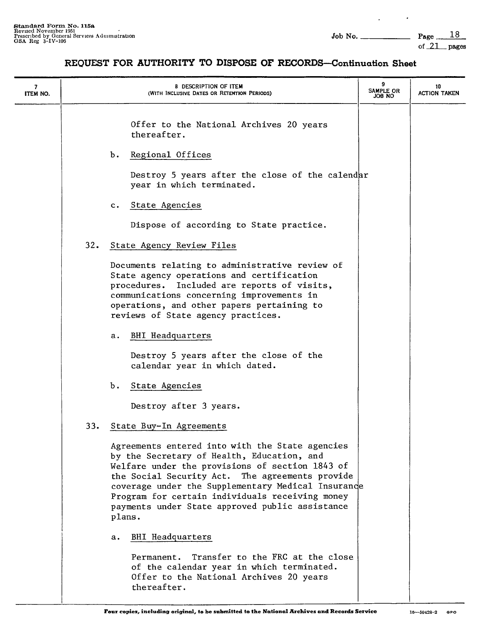$\overline{a}$ 

ł.

| $\overline{\mathbf{z}}$<br>ITEM NO. |     | 8 DESCRIPTION OF ITEM<br>(WITH INCLUSIVE DATES OR RETENTION PERIODS)                                                                                                                                                                                                                                                                                                      | SAMPLE OR<br>JOB NO | 10<br><b>ACTION TAKEN</b> |
|-------------------------------------|-----|---------------------------------------------------------------------------------------------------------------------------------------------------------------------------------------------------------------------------------------------------------------------------------------------------------------------------------------------------------------------------|---------------------|---------------------------|
|                                     |     | Offer to the National Archives 20 years<br>thereafter.                                                                                                                                                                                                                                                                                                                    |                     |                           |
|                                     |     | b. Regional Offices                                                                                                                                                                                                                                                                                                                                                       |                     |                           |
|                                     |     | Destroy 5 years after the close of the calendar<br>year in which terminated.                                                                                                                                                                                                                                                                                              |                     |                           |
|                                     |     | c. State Agencies                                                                                                                                                                                                                                                                                                                                                         |                     |                           |
|                                     |     | Dispose of according to State practice.                                                                                                                                                                                                                                                                                                                                   |                     |                           |
|                                     | 32. | State Agency Review Files                                                                                                                                                                                                                                                                                                                                                 |                     |                           |
|                                     |     | Documents relating to administrative review of<br>State agency operations and certification<br>procedures. Included are reports of visits,<br>communications concerning improvements in<br>operations, and other papers pertaining to<br>reviews of State agency practices.                                                                                               |                     |                           |
|                                     |     | BHI Headquarters<br>а.                                                                                                                                                                                                                                                                                                                                                    |                     |                           |
|                                     |     | Destroy 5 years after the close of the<br>calendar year in which dated.                                                                                                                                                                                                                                                                                                   |                     |                           |
|                                     |     | b. State Agencies                                                                                                                                                                                                                                                                                                                                                         |                     |                           |
|                                     |     | Destroy after 3 years.                                                                                                                                                                                                                                                                                                                                                    |                     |                           |
|                                     | 33. | State Buy-In Agreements                                                                                                                                                                                                                                                                                                                                                   |                     |                           |
|                                     |     | Agreements entered into with the State agencies<br>by the Secretary of Health, Education, and<br>Welfare under the provisions of section 1843 of<br>the Social Security Act. The agreements provide<br>coverage under the Supplementary Medical Insurance<br>Program for certain individuals receiving money<br>payments under State approved public assistance<br>plans. |                     |                           |
|                                     |     | BHI Headquarters<br>а.                                                                                                                                                                                                                                                                                                                                                    |                     |                           |
|                                     |     | Transfer to the FRC at the close<br>Permanent.<br>of the calendar year in which terminated.<br>Offer to the National Archives 20 years<br>thereafter.                                                                                                                                                                                                                     |                     |                           |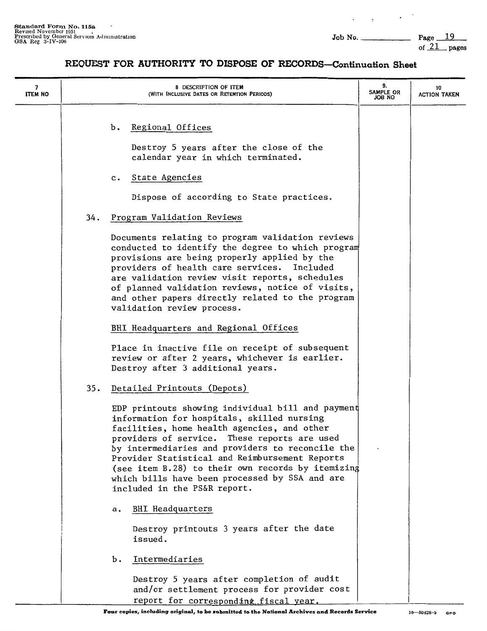$\mathcal{L}_{\rm eff}$  and  $\mathcal{L}_{\rm eff}$ 

 $\ddot{\phantom{0}}$ 

| 7<br><b>ITEM NO</b> |     | 8 DESCRIPTION OF ITEM<br>(WITH INCLUSIVE DATES OR RETENTION PERIODS)                                                                                                                                                                                                                                                                                                                                                                        | 9.<br>SAMPLE OR<br>ON BOL | 10<br><b>ACTION TAKEN</b> |
|---------------------|-----|---------------------------------------------------------------------------------------------------------------------------------------------------------------------------------------------------------------------------------------------------------------------------------------------------------------------------------------------------------------------------------------------------------------------------------------------|---------------------------|---------------------------|
|                     |     | Regional Offices<br>Ъ.<br>Destroy 5 years after the close of the<br>calendar year in which terminated.                                                                                                                                                                                                                                                                                                                                      |                           |                           |
|                     |     | State Agencies<br>c.<br>Dispose of according to State practices.                                                                                                                                                                                                                                                                                                                                                                            |                           |                           |
|                     | 34. | Program Validation Reviews                                                                                                                                                                                                                                                                                                                                                                                                                  |                           |                           |
|                     |     | Documents relating to program validation reviews<br>conducted to identify the degree to which program<br>provisions are being properly applied by the<br>providers of health care services. Included<br>are validation review visit reports, schedules<br>of planned validation reviews, notice of visits,<br>and other papers directly related to the program<br>validation review process.                                                |                           |                           |
|                     |     | BHI Headquarters and Regional Offices                                                                                                                                                                                                                                                                                                                                                                                                       |                           |                           |
|                     |     | Place in inactive file on receipt of subsequent<br>review or after 2 years, whichever is earlier.<br>Destroy after 3 additional years.                                                                                                                                                                                                                                                                                                      |                           |                           |
|                     | 35. | Detailed Printouts (Depots)                                                                                                                                                                                                                                                                                                                                                                                                                 |                           |                           |
|                     |     | EDP printouts showing individual bill and payment<br>information for hospitals, skilled nursing<br>facilities, home health agencies, and other<br>providers of service. These reports are used<br>by intermediaries and providers to reconcile the<br>Provider Statistical and Reimbursement Reports<br>(see item B.28) to their own records by itemizing<br>which bills have been processed by SSA and are<br>included in the PS&R report. |                           |                           |
|                     |     | BHI Headquarters<br>а.                                                                                                                                                                                                                                                                                                                                                                                                                      |                           |                           |
|                     |     | Destroy printouts 3 years after the date<br>issued.                                                                                                                                                                                                                                                                                                                                                                                         |                           |                           |
|                     |     | Intermediaries<br>b.                                                                                                                                                                                                                                                                                                                                                                                                                        |                           |                           |
|                     |     | Destroy 5 years after completion of audit<br>and/or settlement process for provider cost<br>report for corresponding fiscal year.                                                                                                                                                                                                                                                                                                           |                           |                           |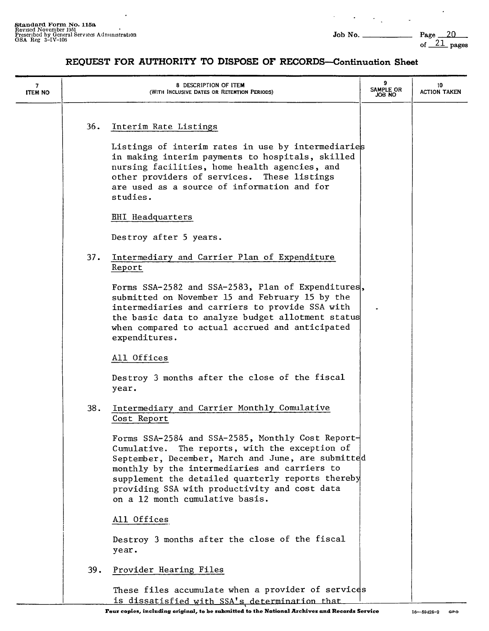$\sim 10^4$ 

 $\sim$ 

ä,

| 7<br><b>ITEM NO</b> |     | 8 DESCRIPTION OF ITEM<br>(WITH INCLUSIVE DATES OR RETENTION PERIODS)                                                                                                                                                                                                                                                                                | 9<br><b>SAMPLE OR</b><br>ON 8OL | 10<br><b>ACTION TAKEN</b> |
|---------------------|-----|-----------------------------------------------------------------------------------------------------------------------------------------------------------------------------------------------------------------------------------------------------------------------------------------------------------------------------------------------------|---------------------------------|---------------------------|
|                     | 36. | Interim Rate Listings<br>Listings of interim rates in use by intermediaries<br>in making interim payments to hospitals, skilled<br>nursing facilities, home health agencies, and<br>other providers of services. These listings<br>are used as a source of information and for<br>studies.                                                          |                                 |                           |
|                     |     | <b>BHI</b> Headquarters                                                                                                                                                                                                                                                                                                                             |                                 |                           |
|                     |     | Destroy after 5 years.                                                                                                                                                                                                                                                                                                                              |                                 |                           |
|                     | 37. | Intermediary and Carrier Plan of Expenditure<br>Report                                                                                                                                                                                                                                                                                              |                                 |                           |
|                     |     | Forms SSA-2582 and SSA-2583, Plan of Expenditures,<br>submitted on November 15 and February 15 by the<br>intermediaries and carriers to provide SSA with<br>the basic data to analyze budget allotment status<br>when compared to actual accrued and anticipated<br>expenditures.                                                                   |                                 |                           |
|                     |     | All Offices                                                                                                                                                                                                                                                                                                                                         |                                 |                           |
|                     |     | Destroy 3 months after the close of the fiscal<br>year.                                                                                                                                                                                                                                                                                             |                                 |                           |
|                     | 38. | Intermediary and Carrier Monthly Comulative<br>Cost Report                                                                                                                                                                                                                                                                                          |                                 |                           |
|                     |     | Forms SSA-2584 and SSA-2585, Monthly Cost Report-<br>Cumulative. The reports, with the exception of<br>September, December, March and June, are submitted<br>monthly by the intermediaries and carriers to<br>supplement the detailed quarterly reports thereby<br>providing SSA with productivity and cost data<br>on a 12 month comulative basis. |                                 |                           |
|                     |     | All Offices                                                                                                                                                                                                                                                                                                                                         |                                 |                           |
|                     |     | Destroy 3 months after the close of the fiscal<br>year.                                                                                                                                                                                                                                                                                             |                                 |                           |
|                     | 39. | Provider Hearing Files                                                                                                                                                                                                                                                                                                                              |                                 |                           |
|                     |     | These files accumulate when a provider of services<br><u>is dissatisfied with SSA's determination that</u>                                                                                                                                                                                                                                          |                                 |                           |